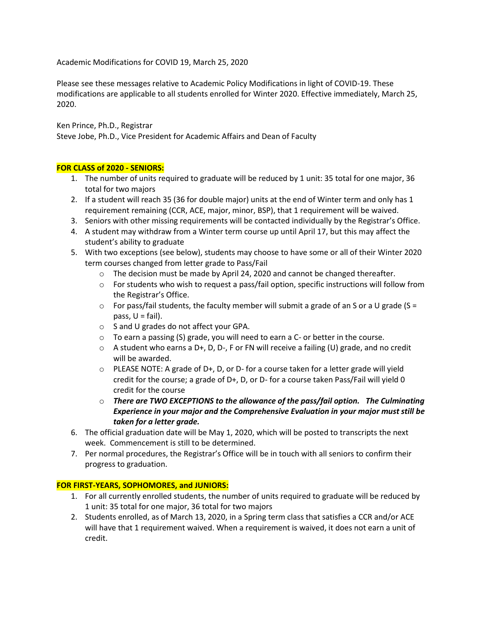Academic Modifications for COVID 19, March 25, 2020

Please see these messages relative to Academic Policy Modifications in light of COVID-19. These modifications are applicable to all students enrolled for Winter 2020. Effective immediately, March 25, 2020.

Ken Prince, Ph.D., Registrar Steve Jobe, Ph.D., Vice President for Academic Affairs and Dean of Faculty

### **FOR CLASS of 2020 - SENIORS:**

- 1. The number of units required to graduate will be reduced by 1 unit: 35 total for one major, 36 total for two majors
- 2. If a student will reach 35 (36 for double major) units at the end of Winter term and only has 1 requirement remaining (CCR, ACE, major, minor, BSP), that 1 requirement will be waived.
- 3. Seniors with other missing requirements will be contacted individually by the Registrar's Office.
- 4. A student may withdraw from a Winter term course up until April 17, but this may affect the student's ability to graduate
- 5. With two exceptions (see below), students may choose to have some or all of their Winter 2020 term courses changed from letter grade to Pass/Fail
	- $\circ$  The decision must be made by April 24, 2020 and cannot be changed thereafter.
	- $\circ$  For students who wish to request a pass/fail option, specific instructions will follow from the Registrar's Office.
	- $\circ$  For pass/fail students, the faculty member will submit a grade of an S or a U grade (S = pass,  $U = \text{fail}$ .
	- o S and U grades do not affect your GPA.
	- o To earn a passing (S) grade, you will need to earn a C- or better in the course.
	- $\circ$  A student who earns a D+, D, D-, F or FN will receive a failing (U) grade, and no credit will be awarded.
	- $\circ$  PLEASE NOTE: A grade of D+, D, or D- for a course taken for a letter grade will yield credit for the course; a grade of D+, D, or D- for a course taken Pass/Fail will yield 0 credit for the course
	- o *There are TWO EXCEPTIONS to the allowance of the pass/fail option. The Culminating Experience in your major and the Comprehensive Evaluation in your major must still be taken for a letter grade.*
- 6. The official graduation date will be May 1, 2020, which will be posted to transcripts the next week. Commencement is still to be determined.
- 7. Per normal procedures, the Registrar's Office will be in touch with all seniors to confirm their progress to graduation.

### **FOR FIRST-YEARS, SOPHOMORES, and JUNIORS:**

- 1. For all currently enrolled students, the number of units required to graduate will be reduced by 1 unit: 35 total for one major, 36 total for two majors
- 2. Students enrolled, as of March 13, 2020, in a Spring term class that satisfies a CCR and/or ACE will have that 1 requirement waived. When a requirement is waived, it does not earn a unit of credit.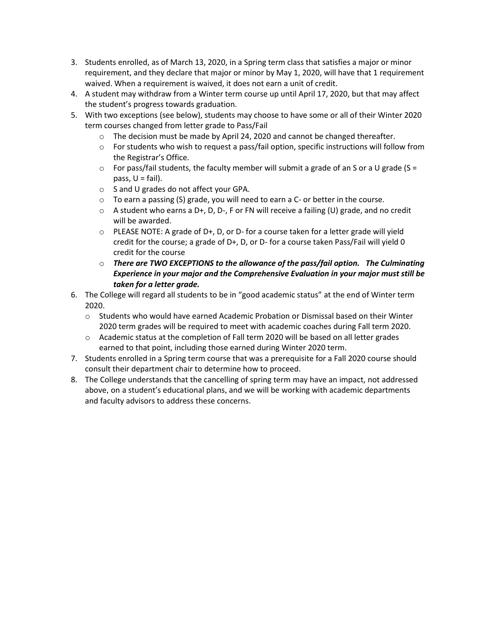- 3. Students enrolled, as of March 13, 2020, in a Spring term class that satisfies a major or minor requirement, and they declare that major or minor by May 1, 2020, will have that 1 requirement waived. When a requirement is waived, it does not earn a unit of credit.
- 4. A student may withdraw from a Winter term course up until April 17, 2020, but that may affect the student's progress towards graduation.
- 5. With two exceptions (see below), students may choose to have some or all of their Winter 2020 term courses changed from letter grade to Pass/Fail
	- $\circ$  The decision must be made by April 24, 2020 and cannot be changed thereafter.
	- $\circ$  For students who wish to request a pass/fail option, specific instructions will follow from the Registrar's Office.
	- $\circ$  For pass/fail students, the faculty member will submit a grade of an S or a U grade (S = pass,  $U = \text{fail}$ .
	- o S and U grades do not affect your GPA.
	- $\circ$  To earn a passing (S) grade, you will need to earn a C- or better in the course.
	- $\circ$  A student who earns a D+, D, D-, F or FN will receive a failing (U) grade, and no credit will be awarded.
	- $\circ$  PLEASE NOTE: A grade of D+, D, or D- for a course taken for a letter grade will yield credit for the course; a grade of D+, D, or D- for a course taken Pass/Fail will yield 0 credit for the course
	- o *There are TWO EXCEPTIONS to the allowance of the pass/fail option. The Culminating Experience in your major and the Comprehensive Evaluation in your major must still be taken for a letter grade.*
- 6. The College will regard all students to be in "good academic status" at the end of Winter term 2020.
	- o Students who would have earned Academic Probation or Dismissal based on their Winter 2020 term grades will be required to meet with academic coaches during Fall term 2020.
	- o Academic status at the completion of Fall term 2020 will be based on all letter grades earned to that point, including those earned during Winter 2020 term.
- 7. Students enrolled in a Spring term course that was a prerequisite for a Fall 2020 course should consult their department chair to determine how to proceed.
- 8. The College understands that the cancelling of spring term may have an impact, not addressed above, on a student's educational plans, and we will be working with academic departments and faculty advisors to address these concerns.